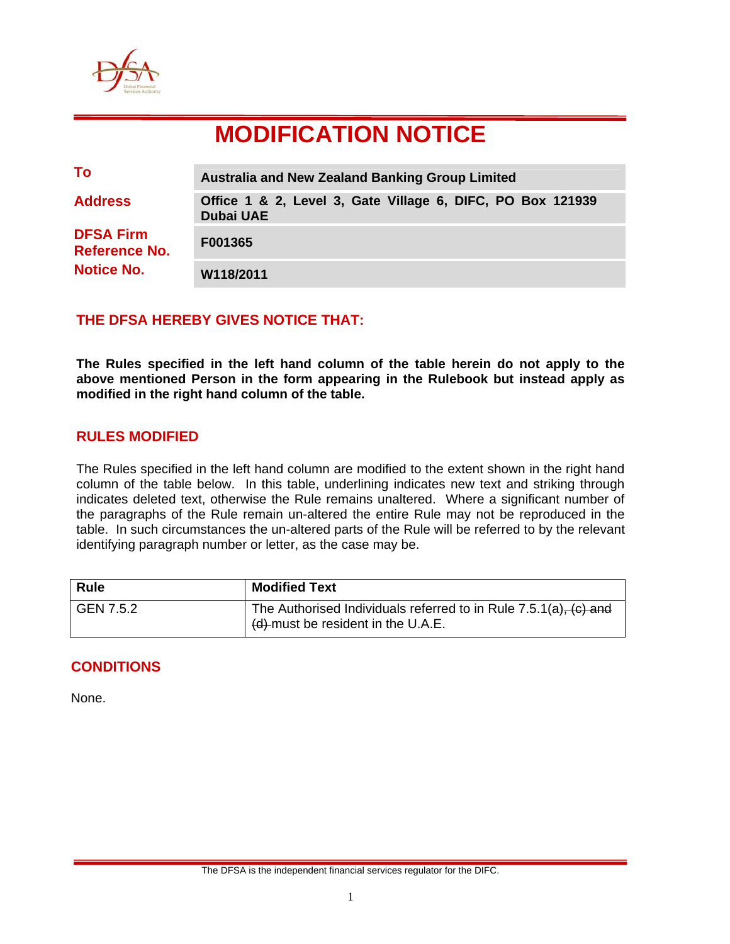

# **MODIFICATION NOTICE**

| To                                                            | <b>Australia and New Zealand Banking Group Limited</b>                         |  |
|---------------------------------------------------------------|--------------------------------------------------------------------------------|--|
| <b>Address</b>                                                | Office 1 & 2, Level 3, Gate Village 6, DIFC, PO Box 121939<br><b>Dubai UAE</b> |  |
| <b>DFSA Firm</b><br><b>Reference No.</b><br><b>Notice No.</b> | F001365                                                                        |  |
|                                                               | W118/2011                                                                      |  |

## **THE DFSA HEREBY GIVES NOTICE THAT:**

**The Rules specified in the left hand column of the table herein do not apply to the above mentioned Person in the form appearing in the Rulebook but instead apply as modified in the right hand column of the table.** 

## **RULES MODIFIED**

The Rules specified in the left hand column are modified to the extent shown in the right hand column of the table below. In this table, underlining indicates new text and striking through indicates deleted text, otherwise the Rule remains unaltered. Where a significant number of the paragraphs of the Rule remain un-altered the entire Rule may not be reproduced in the table. In such circumstances the un-altered parts of the Rule will be referred to by the relevant identifying paragraph number or letter, as the case may be.

| <b>Rule</b> | <b>Modified Text</b>                                                                                        |
|-------------|-------------------------------------------------------------------------------------------------------------|
| GEN 7.5.2   | The Authorised Individuals referred to in Rule $7.5.1(a)$ , $(c)$ and<br>(d) must be resident in the U.A.E. |

## **CONDITIONS**

None.